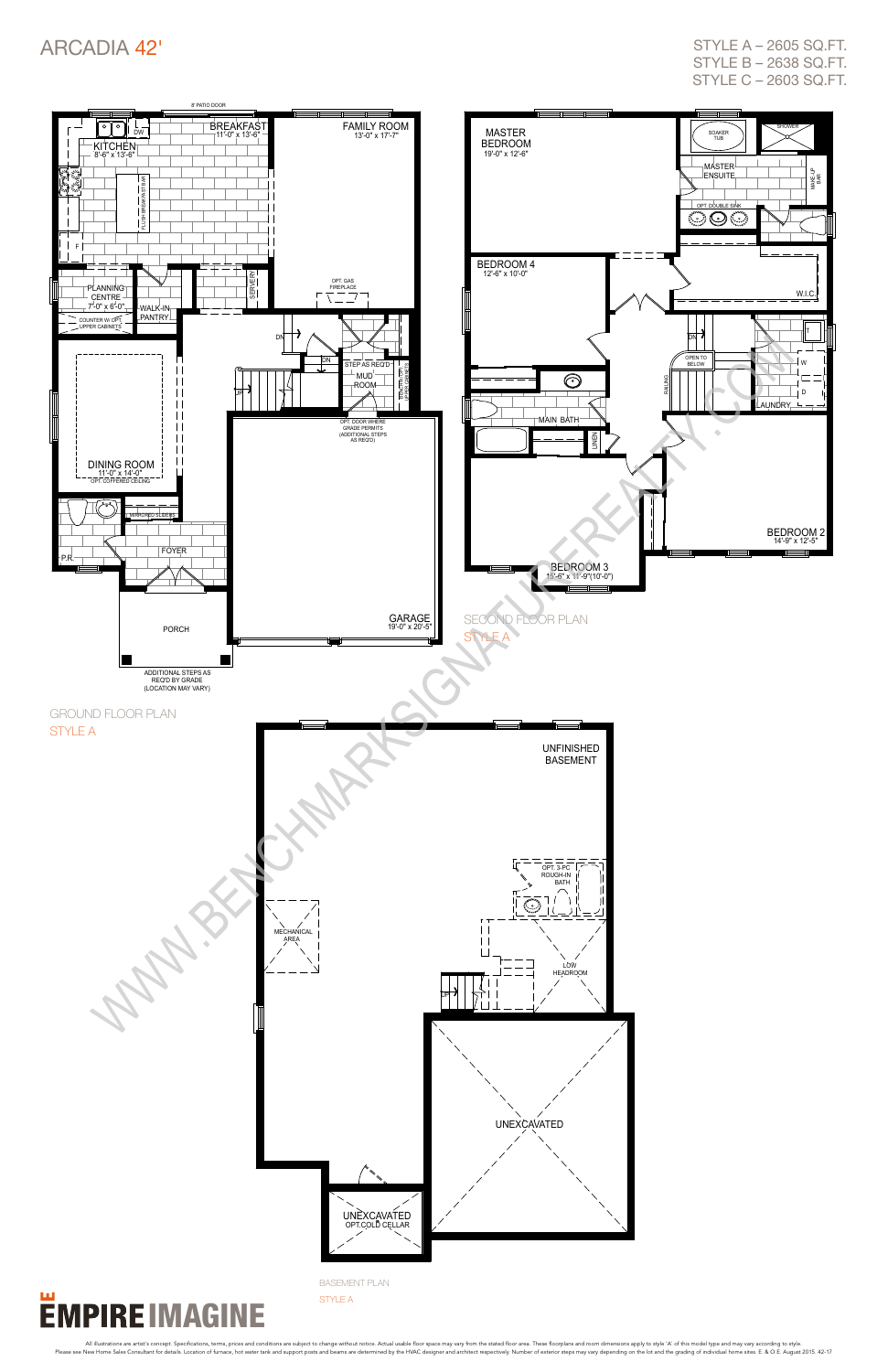

#### Щ **EMPIRE IMAGINE**

#### ARCADIA 42'

style a – 2605 sq.ft. style b – 2638 sq.ft. style c – 2603 sq.ft.

basement plan style A

All illustrations are artist's concept. Specifications, terms, prices and conditions are subject to change without notice. Actual usable floor space may vary from the stated floor area. These floorplans and como dimensions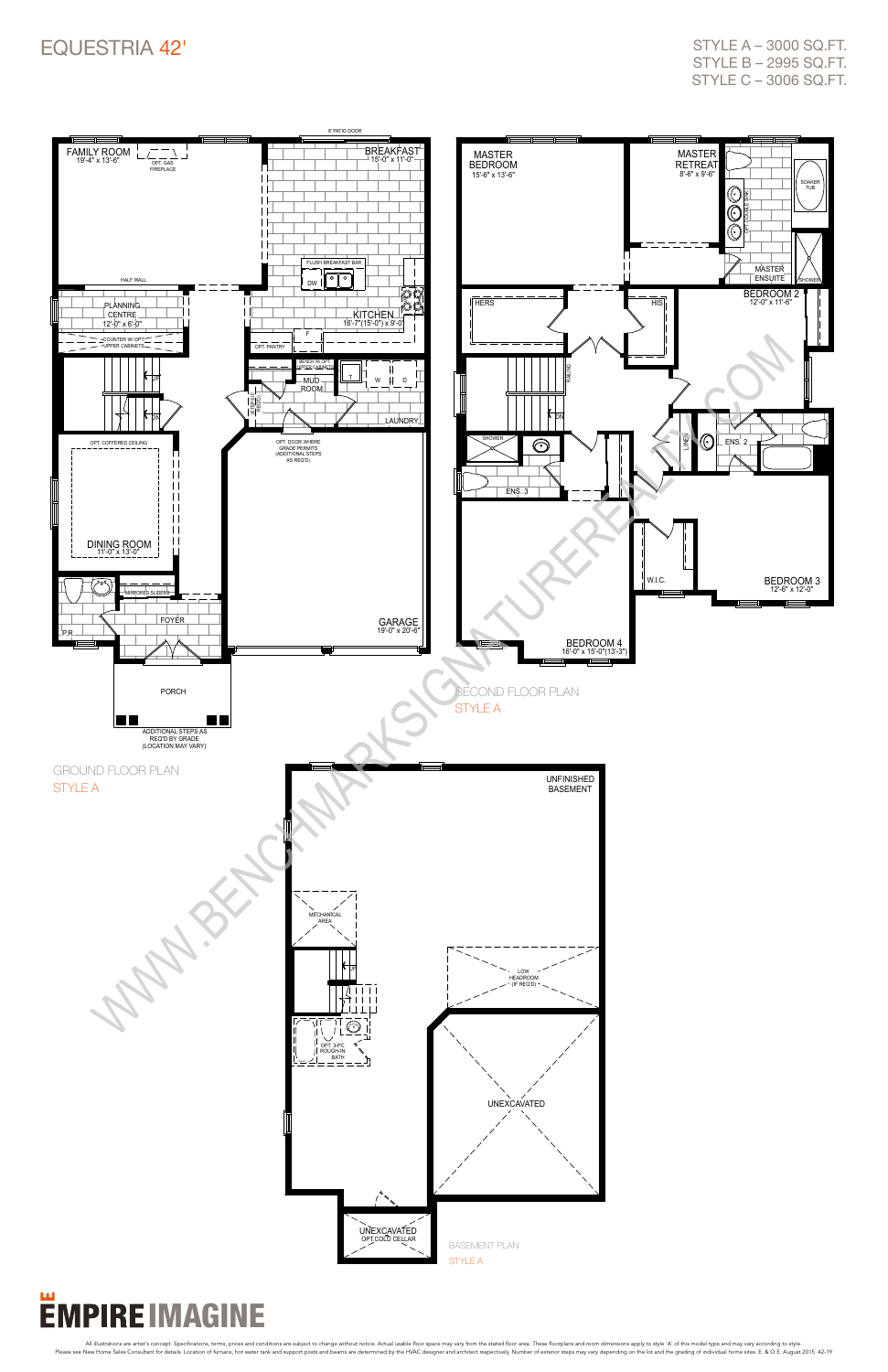#### Equestria 42'



## **EMPIRE IMAGINE**

All illustrations are artist's concept. Specifications, terms, prices and conditions are subject to change without notice. Actual usable floor space may vary from the stated floor area. These floorplans and como dimensions

style a – 3000 sq.ft. style b – 2995 sq.ft. style c – 3006 sq.ft.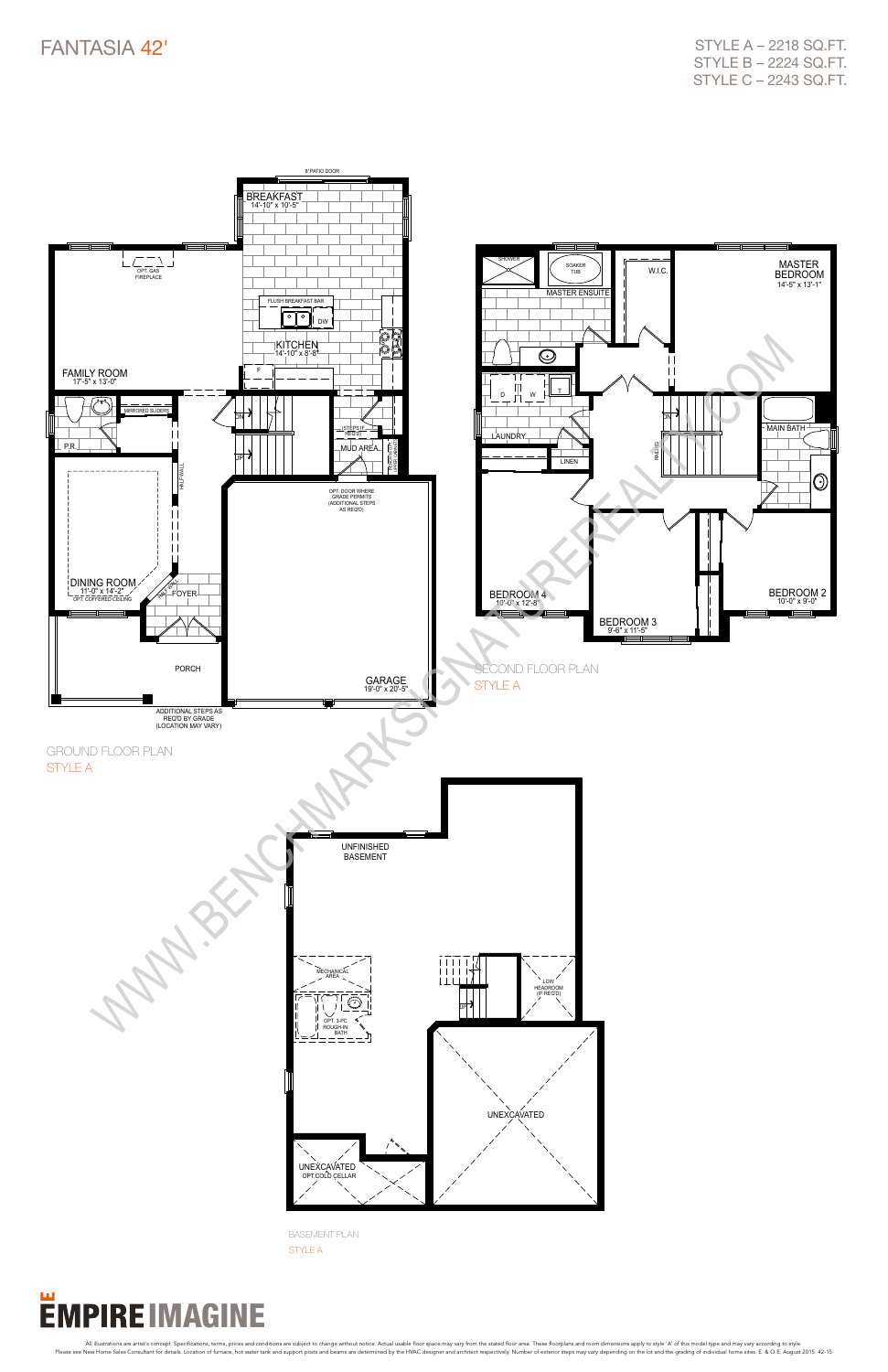

All illustrations are artist's concept. Specifications, terms, prices and conditions are subject to change without notice. Actual usable floor space may vary from the stated floor area. These floorplans and como dimensions

STYLE A - 2218 SQ.FT. style b – 2224 sq.ft. style c – 2243 sq.ft.



basement plan style A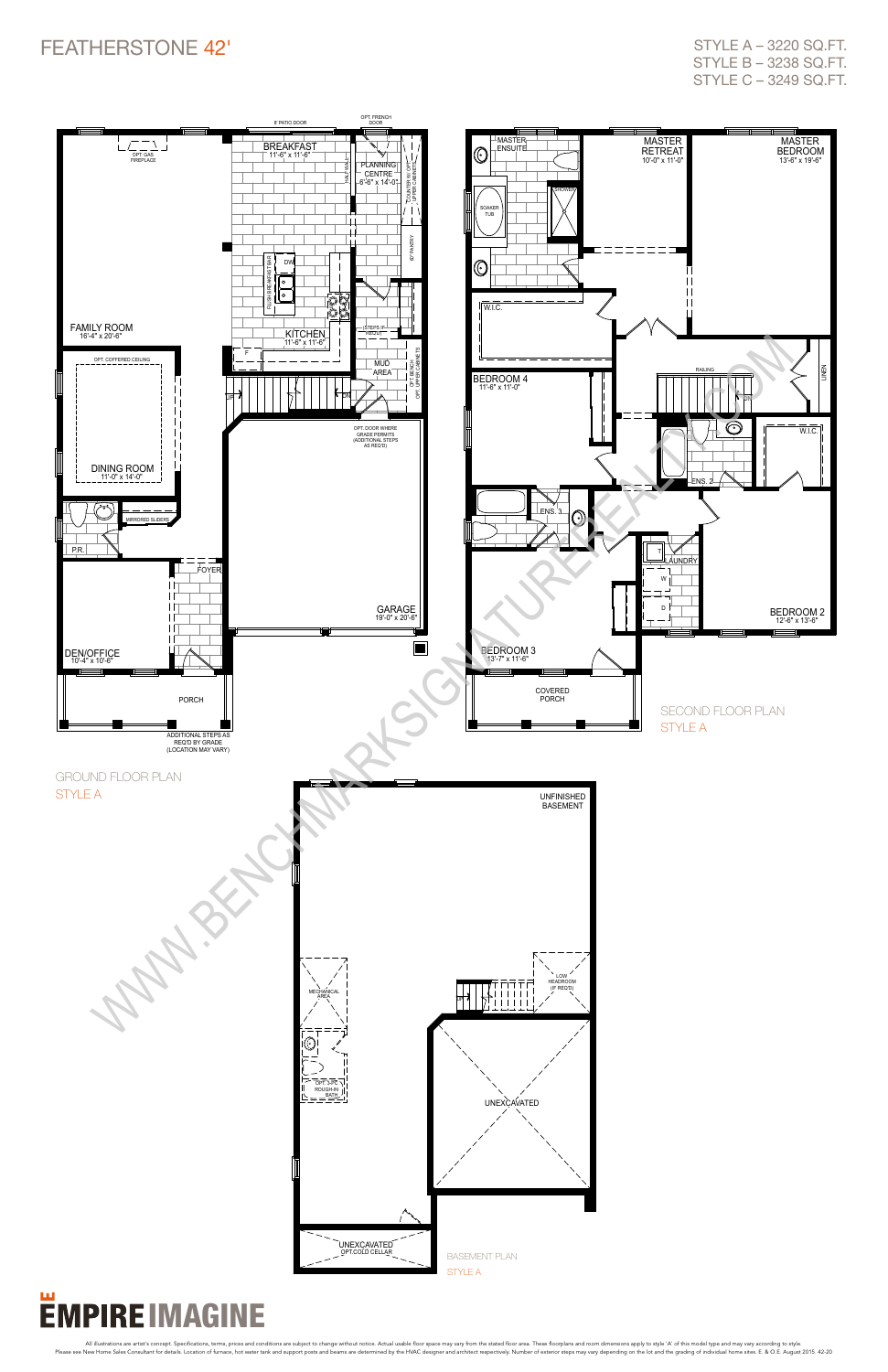

# **EMPIRE IMAGINE**

All illustrations are artist's concept. Specifications, terms, prices and conditions are subject to change without notice. Actual usable floor space may vary from the stated floor area. These floorplans and como dimensions

### FEATHERSTONE 42'

style a – 3220 sq.ft. style b – 3238 sq.ft. style c – 3249 sq.ft.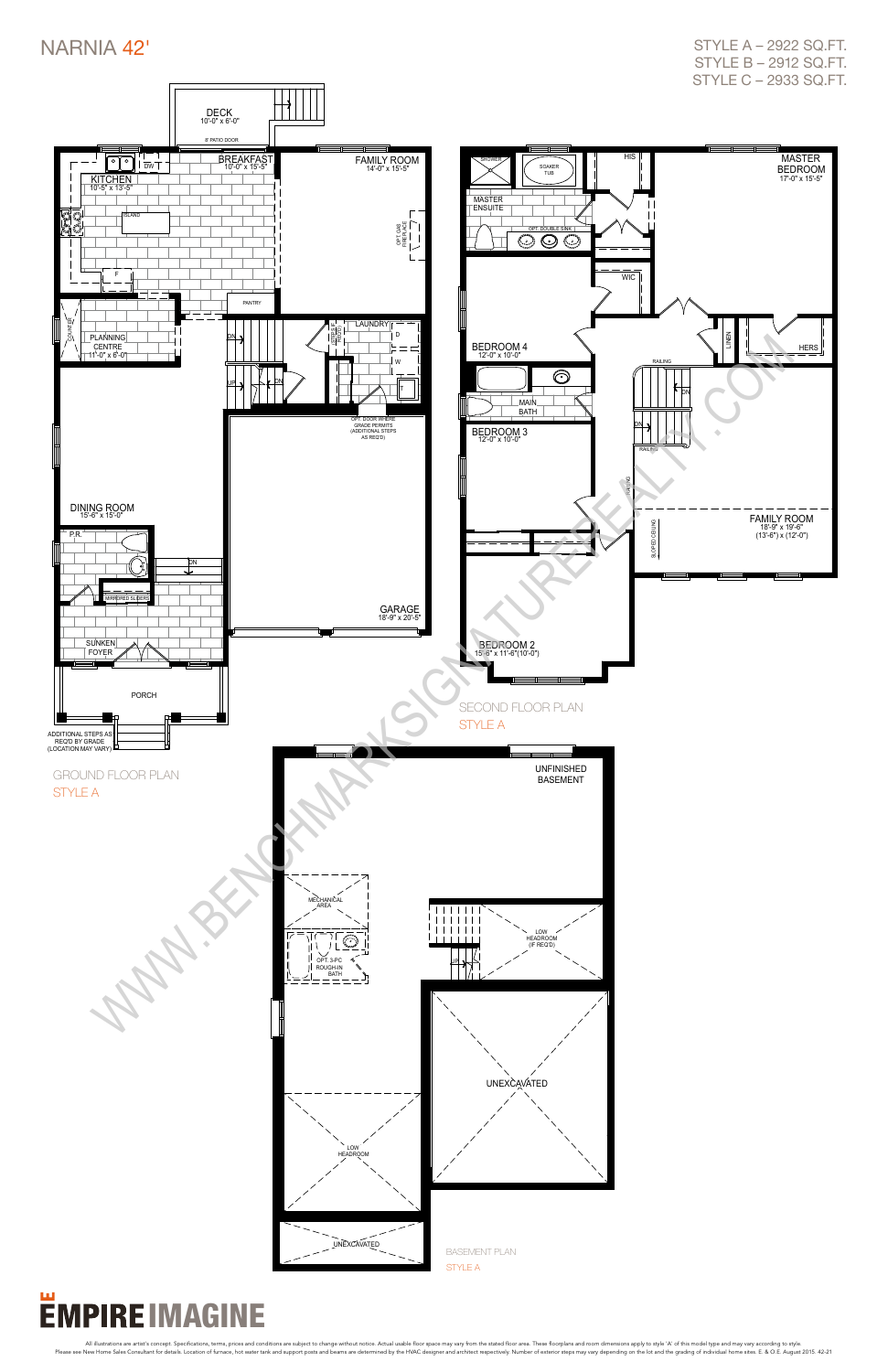

## **EMPIRE IMAGINE**

All illustrations are artist's concept. Specifications, terms, prices and conditions are subject to change without notice. Actual usable floor space may vary from the stated floor area. These floorplans and como dimensions

#### NARNIA 42'

style a – 2922 sq.ft. style b – 2912 sq.ft. style c – 2933 sq.ft.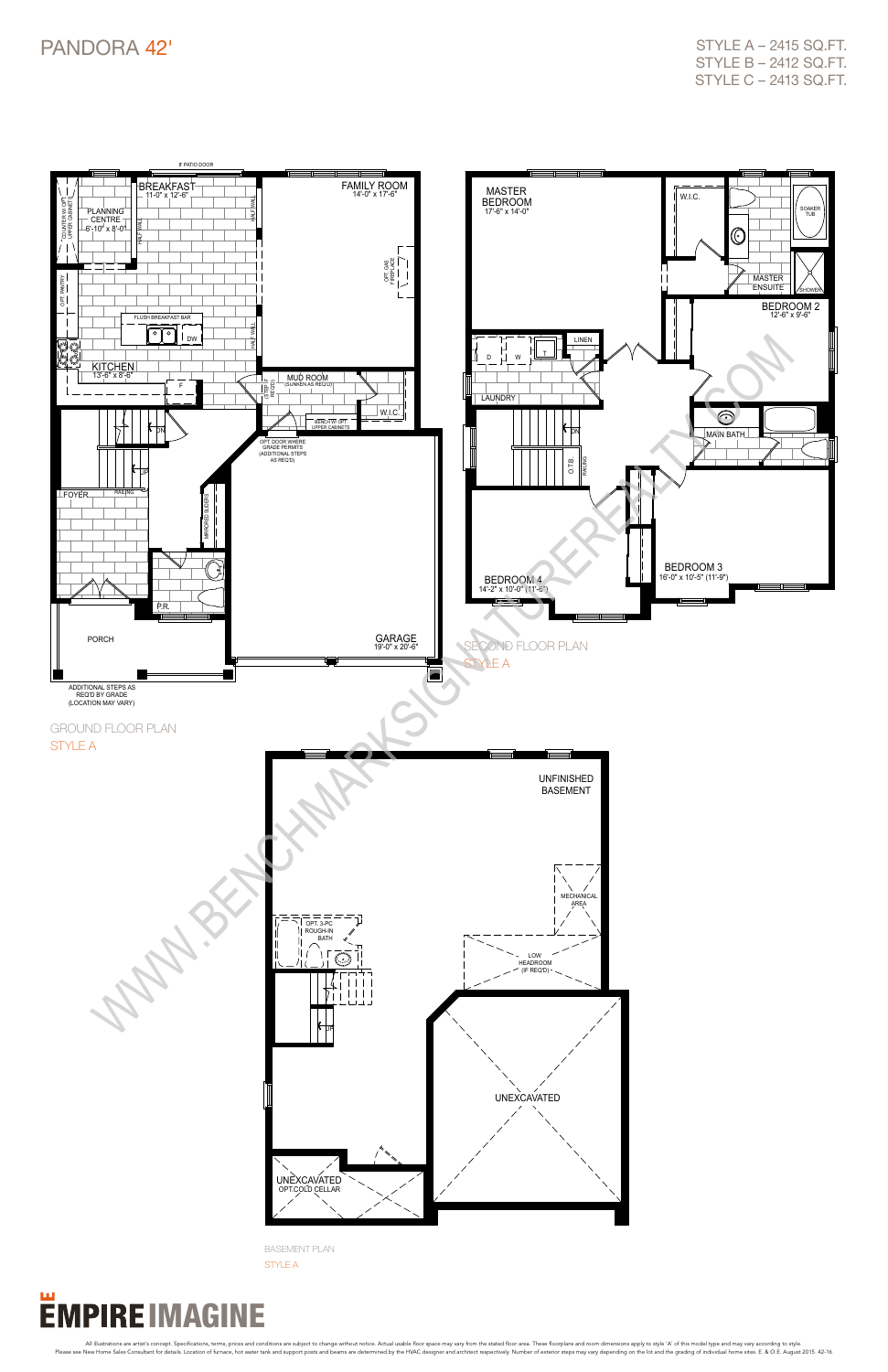

All illustrations are artist's concept. Specifications, terms, prices and conditions are subject to change without notice. Actual usable floor space may vary from the stated floor area. These floorplans and como dimensions



style a – 2415 sq.ft. style b – 2412 sq.ft. style c – 2413 sq.ft.

basement plan style A